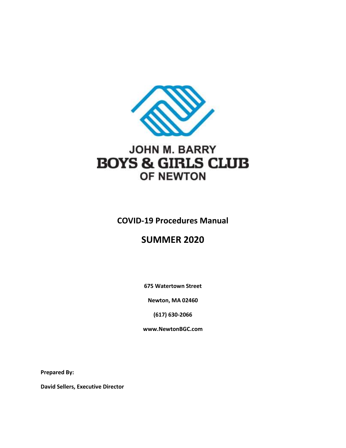

# JOHN M. BARRY **BOYS & GIRLS CLUB OF NEWTON**

**COVID-19 Procedures Manual**

# **SUMMER 2020**

**675 Watertown Street**

**Newton, MA 02460**

**(617) 630-2066**

**www.NewtonBGC.com**

**Prepared By:**

**David Sellers, Executive Director**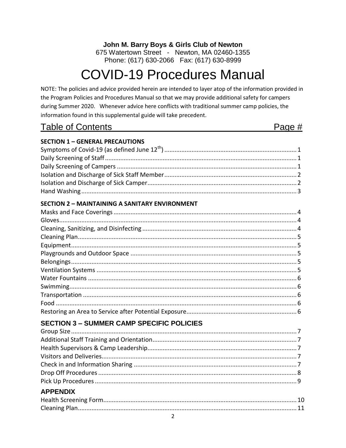John M. Barry Boys & Girls Club of Newton

675 Watertown Street - Newton, MA 02460-1355 Phone: (617) 630-2066 Fax: (617) 630-8999

# **COVID-19 Procedures Manual**

NOTE: The policies and advice provided herein are intended to layer atop of the information provided in the Program Policies and Procedures Manual so that we may provide additional safety for campers during Summer 2020. Whenever advice here conflicts with traditional summer camp policies, the information found in this supplemental guide will take precedent.

**Table of Contents** 

Page #

| <b>SECTION 1 - GENERAL PRECAUTIONS</b>                |  |
|-------------------------------------------------------|--|
|                                                       |  |
|                                                       |  |
|                                                       |  |
|                                                       |  |
|                                                       |  |
|                                                       |  |
| <b>SECTION 2 - MAINTAINING A SANITARY ENVIRONMENT</b> |  |
|                                                       |  |
|                                                       |  |
|                                                       |  |
|                                                       |  |
|                                                       |  |
|                                                       |  |
|                                                       |  |
|                                                       |  |
|                                                       |  |
|                                                       |  |
|                                                       |  |
|                                                       |  |
|                                                       |  |
| <b>SECTION 3 - SUMMER CAMP SPECIFIC POLICIES</b>      |  |
|                                                       |  |
|                                                       |  |
|                                                       |  |
|                                                       |  |
|                                                       |  |
|                                                       |  |
|                                                       |  |
| <b>APPENDIX</b>                                       |  |
|                                                       |  |
|                                                       |  |
| $\overline{2}$                                        |  |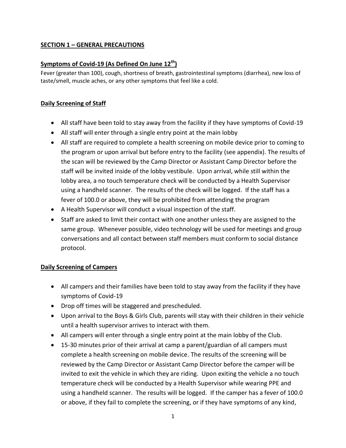# **SECTION 1 – GENERAL PRECAUTIONS**

# **Symptoms of Covid-19 (As Defined On June 12th)**

Fever (greater than 100), cough, shortness of breath, gastrointestinal symptoms (diarrhea), new loss of taste/smell, muscle aches, or any other symptoms that feel like a cold.

# **Daily Screening of Staff**

- All staff have been told to stay away from the facility if they have symptoms of Covid-19
- All staff will enter through a single entry point at the main lobby
- All staff are required to complete a health screening on mobile device prior to coming to the program or upon arrival but before entry to the facility (see appendix). The results of the scan will be reviewed by the Camp Director or Assistant Camp Director before the staff will be invited inside of the lobby vestibule. Upon arrival, while still within the lobby area, a no touch temperature check will be conducted by a Health Supervisor using a handheld scanner. The results of the check will be logged. If the staff has a fever of 100.0 or above, they will be prohibited from attending the program
- A Health Supervisor will conduct a visual inspection of the staff.
- Staff are asked to limit their contact with one another unless they are assigned to the same group. Whenever possible, video technology will be used for meetings and group conversations and all contact between staff members must conform to social distance protocol.

# **Daily Screening of Campers**

- All campers and their families have been told to stay away from the facility if they have symptoms of Covid-19
- Drop off times will be staggered and prescheduled.
- Upon arrival to the Boys & Girls Club, parents will stay with their children in their vehicle until a health supervisor arrives to interact with them.
- All campers will enter through a single entry point at the main lobby of the Club.
- 15-30 minutes prior of their arrival at camp a parent/guardian of all campers must complete a health screening on mobile device. The results of the screening will be reviewed by the Camp Director or Assistant Camp Director before the camper will be invited to exit the vehicle in which they are riding. Upon exiting the vehicle a no touch temperature check will be conducted by a Health Supervisor while wearing PPE and using a handheld scanner. The results will be logged. If the camper has a fever of 100.0 or above, if they fail to complete the screening, or if they have symptoms of any kind,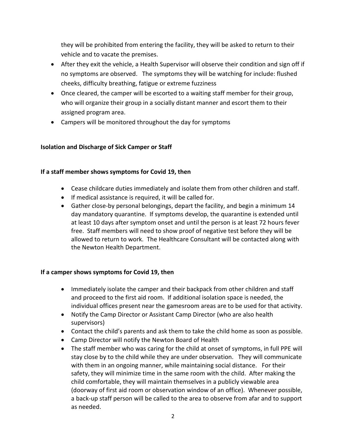they will be prohibited from entering the facility, they will be asked to return to their vehicle and to vacate the premises.

- After they exit the vehicle, a Health Supervisor will observe their condition and sign off if no symptoms are observed. The symptoms they will be watching for include: flushed cheeks, difficulty breathing, fatigue or extreme fuzziness
- Once cleared, the camper will be escorted to a waiting staff member for their group, who will organize their group in a socially distant manner and escort them to their assigned program area.
- Campers will be monitored throughout the day for symptoms

# **Isolation and Discharge of Sick Camper or Staff**

# **If a staff member shows symptoms for Covid 19, then**

- Cease childcare duties immediately and isolate them from other children and staff.
- If medical assistance is required, it will be called for.
- Gather close-by personal belongings, depart the facility, and begin a minimum 14 day mandatory quarantine. If symptoms develop, the quarantine is extended until at least 10 days after symptom onset and until the person is at least 72 hours fever free. Staff members will need to show proof of negative test before they will be allowed to return to work. The Healthcare Consultant will be contacted along with the Newton Health Department.

# **If a camper shows symptoms for Covid 19, then**

- Immediately isolate the camper and their backpack from other children and staff and proceed to the first aid room. If additional isolation space is needed, the individual offices present near the gamesroom areas are to be used for that activity.
- Notify the Camp Director or Assistant Camp Director (who are also health supervisors)
- Contact the child's parents and ask them to take the child home as soon as possible.
- Camp Director will notify the Newton Board of Health
- The staff member who was caring for the child at onset of symptoms, in full PPE will stay close by to the child while they are under observation. They will communicate with them in an ongoing manner, while maintaining social distance. For their safety, they will minimize time in the same room with the child. After making the child comfortable, they will maintain themselves in a publicly viewable area (doorway of first aid room or observation window of an office). Whenever possible, a back-up staff person will be called to the area to observe from afar and to support as needed.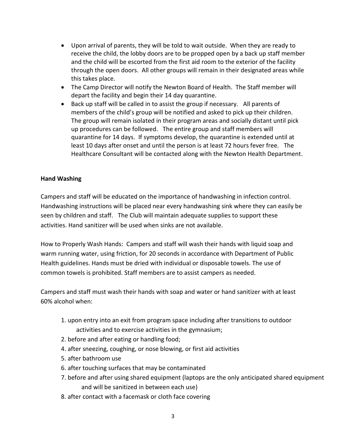- Upon arrival of parents, they will be told to wait outside. When they are ready to receive the child, the lobby doors are to be propped open by a back up staff member and the child will be escorted from the first aid room to the exterior of the facility through the open doors. All other groups will remain in their designated areas while this takes place.
- The Camp Director will notify the Newton Board of Health. The Staff member will depart the facility and begin their 14 day quarantine.
- Back up staff will be called in to assist the group if necessary. All parents of members of the child's group will be notified and asked to pick up their children. The group will remain isolated in their program areas and socially distant until pick up procedures can be followed. The entire group and staff members will quarantine for 14 days. If symptoms develop, the quarantine is extended until at least 10 days after onset and until the person is at least 72 hours fever free. The Healthcare Consultant will be contacted along with the Newton Health Department.

#### **Hand Washing**

Campers and staff will be educated on the importance of handwashing in infection control. Handwashing instructions will be placed near every handwashing sink where they can easily be seen by children and staff. The Club will maintain adequate supplies to support these activities. Hand sanitizer will be used when sinks are not available.

How to Properly Wash Hands: Campers and staff will wash their hands with liquid soap and warm running water, using friction, for 20 seconds in accordance with Department of Public Health guidelines. Hands must be dried with individual or disposable towels. The use of common towels is prohibited. Staff members are to assist campers as needed.

Campers and staff must wash their hands with soap and water or hand sanitizer with at least 60% alcohol when:

- 1. upon entry into an exit from program space including after transitions to outdoor activities and to exercise activities in the gymnasium;
- 2. before and after eating or handling food;
- 4. after sneezing, coughing, or nose blowing, or first aid activities
- 5. after bathroom use
- 6. after touching surfaces that may be contaminated
- 7. before and after using shared equipment (laptops are the only anticipated shared equipment and will be sanitized in between each use)
- 8. after contact with a facemask or cloth face covering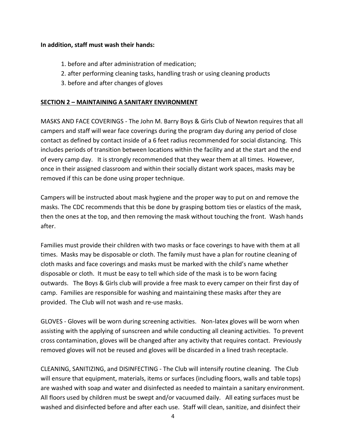#### **In addition, staff must wash their hands:**

- 1. before and after administration of medication;
- 2. after performing cleaning tasks, handling trash or using cleaning products
- 3. before and after changes of gloves

#### **SECTION 2 – MAINTAINING A SANITARY ENVIRONMENT**

MASKS AND FACE COVERINGS - The John M. Barry Boys & Girls Club of Newton requires that all campers and staff will wear face coverings during the program day during any period of close contact as defined by contact inside of a 6 feet radius recommended for social distancing. This includes periods of transition between locations within the facility and at the start and the end of every camp day. It is strongly recommended that they wear them at all times. However, once in their assigned classroom and within their socially distant work spaces, masks may be removed if this can be done using proper technique.

Campers will be instructed about mask hygiene and the proper way to put on and remove the masks. The CDC recommends that this be done by grasping bottom ties or elastics of the mask, then the ones at the top, and then removing the mask without touching the front. Wash hands after.

Families must provide their children with two masks or face coverings to have with them at all times. Masks may be disposable or cloth. The family must have a plan for routine cleaning of cloth masks and face coverings and masks must be marked with the child's name whether disposable or cloth. It must be easy to tell which side of the mask is to be worn facing outwards. The Boys & Girls club will provide a free mask to every camper on their first day of camp. Families are responsible for washing and maintaining these masks after they are provided. The Club will not wash and re-use masks.

GLOVES - Gloves will be worn during screening activities. Non-latex gloves will be worn when assisting with the applying of sunscreen and while conducting all cleaning activities. To prevent cross contamination, gloves will be changed after any activity that requires contact. Previously removed gloves will not be reused and gloves will be discarded in a lined trash receptacle.

CLEANING, SANITIZING, and DISINFECTING - The Club will intensify routine cleaning. The Club will ensure that equipment, materials, items or surfaces (including floors, walls and table tops) are washed with soap and water and disinfected as needed to maintain a sanitary environment. All floors used by children must be swept and/or vacuumed daily. All eating surfaces must be washed and disinfected before and after each use. Staff will clean, sanitize, and disinfect their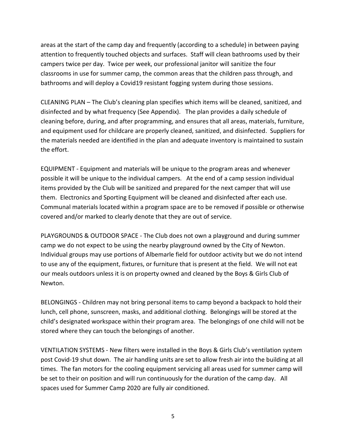areas at the start of the camp day and frequently (according to a schedule) in between paying attention to frequently touched objects and surfaces. Staff will clean bathrooms used by their campers twice per day. Twice per week, our professional janitor will sanitize the four classrooms in use for summer camp, the common areas that the children pass through, and bathrooms and will deploy a Covid19 resistant fogging system during those sessions.

CLEANING PLAN – The Club's cleaning plan specifies which items will be cleaned, sanitized, and disinfected and by what frequency (See Appendix). The plan provides a daily schedule of cleaning before, during, and after programming, and ensures that all areas, materials, furniture, and equipment used for childcare are properly cleaned, sanitized, and disinfected. Suppliers for the materials needed are identified in the plan and adequate inventory is maintained to sustain the effort.

EQUIPMENT - Equipment and materials will be unique to the program areas and whenever possible it will be unique to the individual campers. At the end of a camp session individual items provided by the Club will be sanitized and prepared for the next camper that will use them. Electronics and Sporting Equipment will be cleaned and disinfected after each use. Communal materials located within a program space are to be removed if possible or otherwise covered and/or marked to clearly denote that they are out of service.

PLAYGROUNDS & OUTDOOR SPACE - The Club does not own a playground and during summer camp we do not expect to be using the nearby playground owned by the City of Newton. Individual groups may use portions of Albemarle field for outdoor activity but we do not intend to use any of the equipment, fixtures, or furniture that is present at the field. We will not eat our meals outdoors unless it is on property owned and cleaned by the Boys & Girls Club of Newton.

BELONGINGS - Children may not bring personal items to camp beyond a backpack to hold their lunch, cell phone, sunscreen, masks, and additional clothing. Belongings will be stored at the child's designated workspace within their program area. The belongings of one child will not be stored where they can touch the belongings of another.

VENTILATION SYSTEMS - New filters were installed in the Boys & Girls Club's ventilation system post Covid-19 shut down. The air handling units are set to allow fresh air into the building at all times. The fan motors for the cooling equipment servicing all areas used for summer camp will be set to their on position and will run continuously for the duration of the camp day. All spaces used for Summer Camp 2020 are fully air conditioned.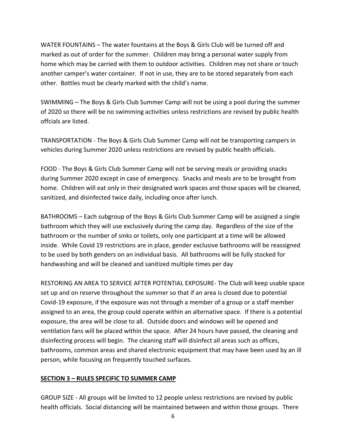WATER FOUNTAINS – The water fountains at the Boys & Girls Club will be turned off and marked as out of order for the summer. Children may bring a personal water supply from home which may be carried with them to outdoor activities. Children may not share or touch another camper's water container. If not in use, they are to be stored separately from each other. Bottles must be clearly marked with the child's name.

SWIMMING – The Boys & Girls Club Summer Camp will not be using a pool during the summer of 2020 so there will be no swimming activities unless restrictions are revised by public health offcials are listed.

TRANSPORTATION - The Boys & Girls Club Summer Camp will not be transporting campers in vehicles during Summer 2020 unless restrictions are revised by public health officials.

FOOD - The Boys & Girls Club Summer Camp will not be serving meals or providing snacks during Summer 2020 except in case of emergency. Snacks and meals are to be brought from home. Children will eat only in their designated work spaces and those spaces will be cleaned, sanitized, and disinfected twice daily, including once after lunch.

BATHROOMS – Each subgroup of the Boys & Girls Club Summer Camp will be assigned a single bathroom which they will use exclusively during the camp day. Regardless of the size of the bathroom or the number of sinks or toilets, only one participant at a time will be allowed inside. While Covid 19 restrictions are in place, gender exclusive bathrooms will be reassigned to be used by both genders on an individual basis. All bathrooms will be fully stocked for handwashing and will be cleaned and sanitized multiple times per day

RESTORING AN AREA TO SERVICE AFTER POTENTIAL EXPOSURE- The Club will keep usable space set up and on reserve throughout the summer so that if an area is closed due to potential Covid-19 exposure, if the exposure was not through a member of a group or a staff member assigned to an area, the group could operate within an alternative space. If there is a potential exposure, the area will be close to all. Outside doors and windows will be opened and ventilation fans will be placed within the space. After 24 hours have passed, the cleaning and disinfecting process will begin. The cleaning staff will disinfect all areas such as offices, bathrooms, common areas and shared electronic equipment that may have been used by an ill person, while focusing on frequently touched surfaces.

#### **SECTION 3 – RULES SPECIFIC TO SUMMER CAMP**

GROUP SIZE - All groups will be limited to 12 people unless restrictions are revised by public health officials. Social distancing will be maintained between and within those groups. There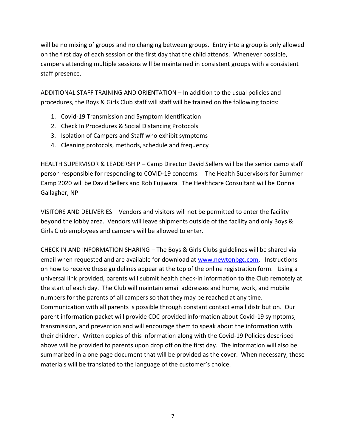will be no mixing of groups and no changing between groups. Entry into a group is only allowed on the first day of each session or the first day that the child attends. Whenever possible, campers attending multiple sessions will be maintained in consistent groups with a consistent staff presence.

ADDITIONAL STAFF TRAINING AND ORIENTATION – In addition to the usual policies and procedures, the Boys & Girls Club staff will staff will be trained on the following topics:

- 1. Covid-19 Transmission and Symptom Identification
- 2. Check In Procedures & Social Distancing Protocols
- 3. Isolation of Campers and Staff who exhibit symptoms
- 4. Cleaning protocols, methods, schedule and frequency

HEALTH SUPERVISOR & LEADERSHIP – Camp Director David Sellers will be the senior camp staff person responsible for responding to COVID-19 concerns. The Health Supervisors for Summer Camp 2020 will be David Sellers and Rob Fujiwara. The Healthcare Consultant will be Donna Gallagher, NP

VISITORS AND DELIVERIES – Vendors and visitors will not be permitted to enter the facility beyond the lobby area. Vendors will leave shipments outside of the facility and only Boys & Girls Club employees and campers will be allowed to enter.

CHECK IN AND INFORMATION SHARING – The Boys & Girls Clubs guidelines will be shared via email when requested and are available for download at [www.newtonbgc.com.](http://www.newtonbgc.com/) Instructions on how to receive these guidelines appear at the top of the online registration form. Using a universal link provided, parents will submit health check-in information to the Club remotely at the start of each day. The Club will maintain email addresses and home, work, and mobile numbers for the parents of all campers so that they may be reached at any time. Communication with all parents is possible through constant contact email distribution. Our parent information packet will provide CDC provided information about Covid-19 symptoms, transmission, and prevention and will encourage them to speak about the information with their children. Written copies of this information along with the Covid-19 Policies described above will be provided to parents upon drop off on the first day. The information will also be summarized in a one page document that will be provided as the cover. When necessary, these materials will be translated to the language of the customer's choice.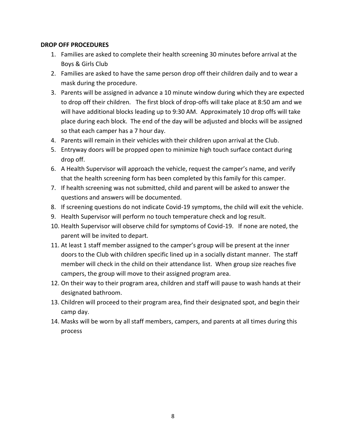#### **DROP OFF PROCEDURES**

- 1. Families are asked to complete their health screening 30 minutes before arrival at the Boys & Girls Club
- 2. Families are asked to have the same person drop off their children daily and to wear a mask during the procedure.
- 3. Parents will be assigned in advance a 10 minute window during which they are expected to drop off their children. The first block of drop-offs will take place at 8:50 am and we will have additional blocks leading up to 9:30 AM. Approximately 10 drop offs will take place during each block. The end of the day will be adjusted and blocks will be assigned so that each camper has a 7 hour day.
- 4. Parents will remain in their vehicles with their children upon arrival at the Club.
- 5. Entryway doors will be propped open to minimize high touch surface contact during drop off.
- 6. A Health Supervisor will approach the vehicle, request the camper's name, and verify that the health screening form has been completed by this family for this camper.
- 7. If health screening was not submitted, child and parent will be asked to answer the questions and answers will be documented.
- 8. If screening questions do not indicate Covid-19 symptoms, the child will exit the vehicle.
- 9. Health Supervisor will perform no touch temperature check and log result.
- 10. Health Supervisor will observe child for symptoms of Covid-19. If none are noted, the parent will be invited to depart.
- 11. At least 1 staff member assigned to the camper's group will be present at the inner doors to the Club with children specific lined up in a socially distant manner. The staff member will check in the child on their attendance list. When group size reaches five campers, the group will move to their assigned program area.
- 12. On their way to their program area, children and staff will pause to wash hands at their designated bathroom.
- 13. Children will proceed to their program area, find their designated spot, and begin their camp day.
- 14. Masks will be worn by all staff members, campers, and parents at all times during this process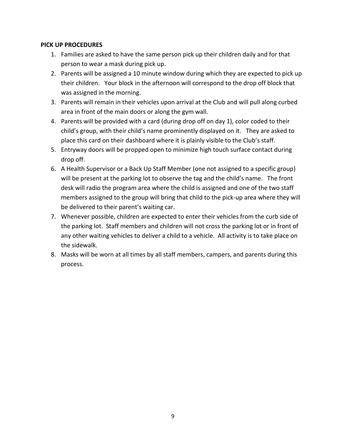#### **PICK UP PROCEDURES**

- 1. Families are asked to have the same person pick up their children daily and for that person to wear a mask during pick up.
- 2. Parents will be assigned a 10 minute window during which they are expected to pick up their children. Your block in the afternoon will correspond to the drop off block that was assigned in the morning.
- 3. Parents will remain in their vehicles upon arrival at the Club and will pull along curbed area in front of the main doors or along the gym wall.
- 4. Parents will be provided with a card (during drop off on day 1), color coded to their child's group, with their child's name prominently displayed on it. They are asked to place this card on their dashboard where it is plainly visible to the Club's staff.
- 5. Entryway doors will be propped open to minimize high touch surface contact during drop off.
- 6. A Health Supervisor or a Back Up Staff Member (one not assigned to a specific group) will be present at the parking lot to observe the tag and the child's name. The front desk will radio the program area where the child is assigned and one of the two staff members assigned to the group will bring that child to the pick-up area where they will be delivered to their parent's waiting car.
- 7. Whenever possible, children are expected to enter their vehicles from the curb side of the parking lot. Staff members and children will not cross the parking lot or in front of any other waiting vehicles to deliver a child to a vehicle. All activity is to take place on the sidewalk.
- 8. Masks will be worn at all times by all staff members, campers, and parents during this process.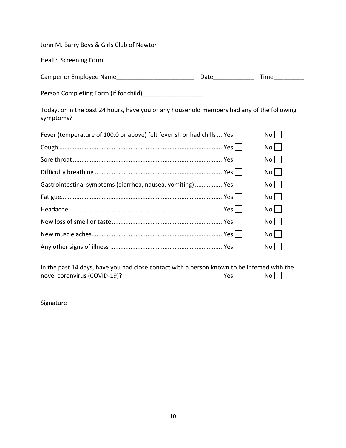John M. Barry Boys & Girls Club of Newton

Health Screening Form

| Camper or Employee Name | Date | 'ime |
|-------------------------|------|------|
|-------------------------|------|------|

Person Completing Form (if for child)\_\_\_\_\_\_\_\_\_\_\_\_\_\_\_\_\_\_

Today, or in the past 24 hours, have you or any household members had any of the following symptoms?

| Fever (temperature of 100.0 or above) felt feverish or had chills Yes | No   |
|-----------------------------------------------------------------------|------|
|                                                                       | No   |
|                                                                       | No   |
|                                                                       | $No$ |
| Gastrointestinal symptoms (diarrhea, nausea, vomiting) Yes            | $No$ |
|                                                                       | No   |
|                                                                       | No   |
|                                                                       | No   |
|                                                                       | $No$ |
|                                                                       |      |

In the past 14 days, have you had close contact with a person known to be infected with the novel coronvirus (COVID-19)? novel coronvirus (COVID-19)?  $Yes \Box$ 

Signature\_\_\_\_\_\_\_\_\_\_\_\_\_\_\_\_\_\_\_\_\_\_\_\_\_\_\_\_\_\_\_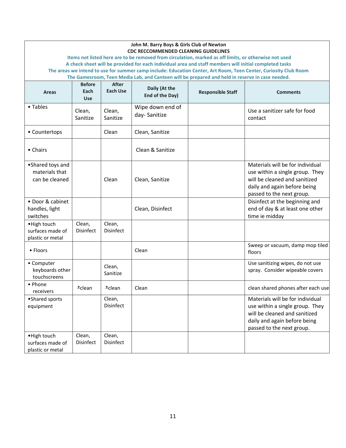| John M. Barry Boys & Girls Club of Newton<br><b>CDC RECCOMMENDED CLEANING GUIDELINES</b>                                                                                                                            |                            |                     |                                  |                          |                                                                                                                                                                   |  |  |
|---------------------------------------------------------------------------------------------------------------------------------------------------------------------------------------------------------------------|----------------------------|---------------------|----------------------------------|--------------------------|-------------------------------------------------------------------------------------------------------------------------------------------------------------------|--|--|
| Items not listed here are to be removed from circulation, marked as off limits, or otherwise not used                                                                                                               |                            |                     |                                  |                          |                                                                                                                                                                   |  |  |
| A check sheet will be provided for each individual area and staff members will initial completed tasks                                                                                                              |                            |                     |                                  |                          |                                                                                                                                                                   |  |  |
| The areas we intend to use for summer camp include: Education Center, Art Room, Teen Center, Curiosity Club Room<br>The Gamesroom, Teen Media Lab, and Canteen will be prepared and held in reserve in case needed. |                            |                     |                                  |                          |                                                                                                                                                                   |  |  |
|                                                                                                                                                                                                                     | <b>Before</b>              | After               |                                  |                          |                                                                                                                                                                   |  |  |
| <b>Areas</b>                                                                                                                                                                                                        | Each<br><b>Use</b>         | <b>Each Use</b>     | Daily (At the<br>End of the Day) | <b>Responsible Staff</b> | <b>Comments</b>                                                                                                                                                   |  |  |
| • Tables                                                                                                                                                                                                            | Clean,<br>Sanitize         | Clean,<br>Sanitize  | Wipe down end of<br>day-Sanitize |                          | Use a sanitizer safe for food<br>contact                                                                                                                          |  |  |
| • Countertops                                                                                                                                                                                                       |                            | Clean               | Clean, Sanitize                  |                          |                                                                                                                                                                   |  |  |
| • Chairs                                                                                                                                                                                                            |                            |                     | Clean & Sanitize                 |                          |                                                                                                                                                                   |  |  |
| •Shared toys and<br>materials that<br>can be cleaned                                                                                                                                                                |                            | Clean               | Clean, Sanitize                  |                          | Materials will be for individual<br>use within a single group. They<br>will be cleaned and sanitized<br>daily and again before being<br>passed to the next group. |  |  |
| • Door & cabinet<br>handles, light<br>switches                                                                                                                                                                      |                            |                     | Clean, Disinfect                 |                          | Disinfect at the beginning and<br>end of day & at least one other<br>time ie midday                                                                               |  |  |
| • High touch<br>surfaces made of<br>plastic or metal                                                                                                                                                                | Clean,<br><b>Disinfect</b> | Clean,<br>Disinfect |                                  |                          |                                                                                                                                                                   |  |  |
| • Floors                                                                                                                                                                                                            |                            |                     | Clean                            |                          | Sweep or vacuum, damp mop tiled<br>floors                                                                                                                         |  |  |
| • Computer<br>keyboards other<br>touchscreens                                                                                                                                                                       |                            | Clean,<br>Sanitize  |                                  |                          | Use sanitizing wipes, do not use<br>spray. Consider wipeable covers                                                                                               |  |  |
| • Phone<br>receivers                                                                                                                                                                                                | $*$ clean                  | $*$ clean           | Clean                            |                          | clean shared phones after each use                                                                                                                                |  |  |
| •Shared sports<br>equipment                                                                                                                                                                                         |                            | Clean,<br>Disinfect |                                  |                          | Materials will be for individual<br>use within a single group. They<br>will be cleaned and sanitized<br>daily and again before being<br>passed to the next group. |  |  |
| • High touch<br>surfaces made of<br>plastic or metal                                                                                                                                                                | Clean,<br>Disinfect        | Clean,<br>Disinfect |                                  |                          |                                                                                                                                                                   |  |  |